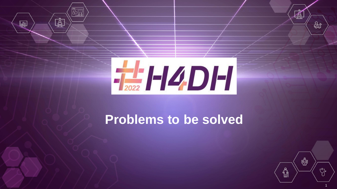

 $\overline{\mathbb{G}}$  ,

 $\mathring{\mathbb{A}}$ 

圗

# **Problems to be solved**



 $\mathbb{\AA}$ 

ஜி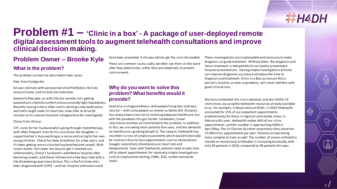₿

## **Problem #1 – 'Clinic in a box' - A package of user-deployed remote digital assessment tools to augment telehealth consultations and improve clinical decision making.**

## **Problem Owner – Brooke Kyle**

## **What is the problem?**

The problem can best be described in two cases:

Pete from Coolgardie

64 year old male with paroxysmal atrial fibrillation. He lives alone at home, and his kids live interstate.

Generally Pete gets on with life, but recently he's getting palpitations, chest discomfort and occasionally light-headedness. Recently having it more often and is starting a new medication, worried it might make his heart too slow. Pete to drive 30 minutes to his nearest hospital in Kalgoorlie to be investigated.

#### Cheryl from Hilarys

57F, cares for her husband who's going through chemotherapy, with often frequent trips for his care alone. Her daughter is supportive but is busy working as a nurse and caring for her own young children. Cheryl has been breathless for a few years, and it's been getting worse since her husband became unwell. With recent events she's been too busy to get it checked out. Unfortunately, Cheryl's husband is admitted to hospital after becoming unwell, and Cheryl follows him a few days later with a life-threatening respiratory failure. This is the first time she's been diagnosed with COPD – and her hospital admission could

have been prevented if she was able to get the care she needed.

These are common cases; sadly, we often see them on the ward after they deteriorate, rather than pre-emptively to prevent such an event.

## **Why do you want to solve this problem? What benefits would it provide?**

Australia is a huge landmass, with people living near and very, very far – with some people as remote as Derby WA. Distance has always been a barrier to receiving adequate healthcare, but with the pandemic this got harder. Lockdowns, travel restrictions and fear all contributed to the problem. In addition to this, we are seeing more patients than ever, and the demands on healthcare is growing (Graph 1). The swap to Telehealth has resulted in a loss of simple assessments which would historically be routine in face-to-face appointments such as observations (oxygen saturations, blood pressure, heart rate and temperature). Even with Telehealth, patients need to take time off to attend appointments for relatively simple investigations such as lung function testing, FeNO, ECG, carbon monoxide levels

These investigations are irreplaceable and necessary to make diagnosis, or guide treatment. Without them, the diagnosis and hence treatment is delayed which can lead to preventable hospital presentations. Having simple investigations at home can improve diagnostic accuracy and reduce the time to diagnosis and treatment. Clinic in a Box can ensure that a person's location, or even a pandemic, will never interfere with good clinical care.

We have combatted the rise in demand, and the COVID-19 restrictions, by using the telehealth resources already available to us. For example, in Respiratory at SCGH, in 2020 Telehealth accounted for 15% of our outpatient appointments, predominantly for those in regional and remote areas. In February this year, telehealth makes 66% of our clinic appointments, and the number is approaching 100% in April/May. The Sir Charles Gairdner respiratory clinic alone has 15,000 clinic appointments per year. Patients are becoming more complex to treat as well. The number of severe asthmatics started on monoclonal antibodies is increasing drastically, with only 38 patients in 2018, compared to 98 patients this year.

V,

 $\mathbb{\overline{A}}$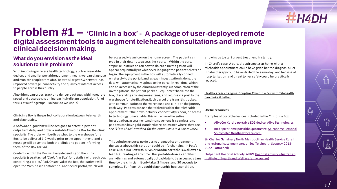</sub>

## **Problem #1 – 'Clinic in a box' - A package of user-deployed remote digital assessment tools to augment telehealth consultations and improve clinical decision making.**

## **What do you envision as the ideal solution to this problem?**

With improving wireless health technology, such as wearable devices and smaller portable equipment means we can diagnose and monitor people from afar. Telstra's largest 5G Network has improved coverage, connectivity and quality of internet access to people across the country.

Algorithms can order, track and deliver packages with incredible speed and accuracy, to an increasingly distant population. All of this is at our fingertips – so how do we use it?

#### Clinic in a Box is the perfect collaboration between telehealth and diagnostics.

A Software algorithm will be designed to detect a person's outpatient date, and order a suitable Clinic in a Box for the clinic specialty. The order will be dispatched to the warehouse for a Box to be delivered 1-2 weeks prior to the appointment, and a message will be sent to both the clinic and patient informing them of the Box arrival.

Contents within the Box will vary depending on the clinic specialty (see attached *'Clinic in a Box'* for details), with each box containing a tablet/iPad. On arrival of the Box, the patient will open the Web-based confidential and secure portal, which will

be accessed via an icon on the home screen. The patient can type in their details to access their portal. Within the portal, stepwise instructions on how to do each investigation will appear sequentially in whichever language the patient selects on log in. The equipment in the box will automatically connect wirelessly to the portal, and as each investigation is done, the data will automatically upload to the portal in real time, which can be accessed by the clinician instantly. On completion of the investigations, the patient packs all equipment back into the box, discarding any single-use items, and returns via post to the warehouse for sterilization. Each part of the transit is tracked, with communication to the warehouse and clinic on the journey each way. Patients can use the tablet/iPad for the telehealth appointment if their own network connectivity is poor, or access to technology unavailable. This will ensure the entire investigation, assessment and management is seamless, and patients can have gold standard care, no matter where they are. *See "Flow Chart" attached for the entire Clinic in a Box Journey.*

This solution ensures no delays to diagnostics or treatment. In the cases above, this solution could be life-changing. In Pete's case: Clinic in a Box with AliveCor Kardia portable ECG allows a 6 lead ECG reading at any time. This portable device can detect arrhythmias and automatically upload data to be accessed at any time by the clinician. It only takes 2 fingers, and 30 seconds to complete. For Pete, this could diagnose his heart condition,

allowing us to start urgent treatment instantly.

In Cheryl's case: A portable spirometer at home with a telehealth appointment could have given her the diagnosis. Her inhaler therapy could have started the same day, and her risk of hospitalisation and threat to her safety could be drastically reduced.

#### Healthcare is changing. Coupling Clinic in a Box with Telehealth can make it better.

#### **Useful resources:**

Examples of portable devices included in the Clinic in a Box:

- AliveCor Kardia portable ECG device: [Alive Technologies](https://www.alivetec.com/)
- Bird SpiroHome portable Spirometer: Spirohome Personal [Spirometer \(birdhealthcare.com\)](https://www.birdhealthcare.com/catalogue/electronic-peak-flow-meter-spirometer/spirohome-personal)

Sir Charles Gairdner / North Metropolitan Health Service Rural and regional catchment areas (See Telehealth Strategy 2018- 2022 – attached)

[Outpatient Hospital Activity: AIHW Hospital activity -](https://www.aihw.gov.au/reports-data/myhospitals/themes/hospital-activity) Australian Institute of Health and Welfare (aihw.gov.au)

<u>(</u>°)

 $\mathbb{\overline{A}}$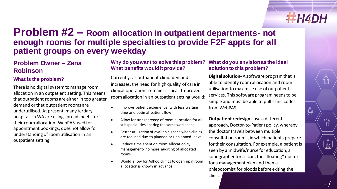## **Problem #2 – Room allocation in outpatient departments- not enough rooms for multiple specialties to provide F2F appts for all patient groups on every weekday**

## **Problem Owner – Zena Robinson**

## **What is the problem?**

There is no digital system to manage room allocation in an outpatient setting. This means that outpatient rooms are either in too greater demand or that outpatient rooms are underutilised. At present, many tertiary hospitals in WA are using spreadsheets for their room allocation. WebPAS used for appointment bookings, does not allow for understanding of room utilisation in an outpatient setting.

### Why do you want to solve this problem? What do you envision as the ideal **What benefits would it provide?**

Currently, as outpatient clinic demand increases, the need for high quality of care in clinical operations remains critical. Improved room allocation in an outpatient setting would:

- Improve patient experience, with less waiting time and optimal patient flow
- Allow for transparency of room allocation for all subspecialities sharing the same workspace
- Better utilisation of available space when clinics are reduced due to planned or unplanned leave
- Reduce time spent on room allocation by management- no more auditing of allocated rooms
- Would allow for Adhoc clinics to open up if room allocation is known in advance

## **solution to this problem?**

**Digital solution-** A software program that is able to identify room allocation and room utilisation to maximise use of outpatient services. This software program needs to be simple and must be able to pull clinic codes from WebPAS.

**Outpatient redesign -** use a different approach, Doctor-to-Patient policy, whereby the doctor travels between multiple consultation rooms, in which patients prepare for their consultation. For example, a patient is seen by a midwife/nurse for education, a sonographer for a scan, the "floating" doctor for a management plan and then a phlebotomist for bloods before exiting the

clinic.

 $\textcolor{red}{\textbf{O}}$ 

 $\sqrt[6]{\cdot}$ 

 $\mathbb{R}$ 

₿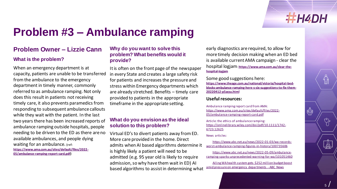

௹

## **Problem #3 – Ambulance ramping**

## **Problem Owner – Lizzie Cann**

## **What is the problem?**

When an emergency department is at capacity, patients are unable to be transferred from the ambulance to the emergency department in timely manner, commonly referred to as ambulance ramping. Not only does this result in patients not receiving timely care, it also prevents paramedics from responding to subsequent ambulance callouts while they wait with the patient. In the last two years there has been increased reports of ambulance ramping outside hospitals, people needing to be driven to the ED as there are no available ambulances, and people dying waiting for an ambulance. **(ref: [https://www.ama.com.au/sites/default/files/2022-](https://www.ama.com.au/sites/default/files/2022-05/ambulance-ramping-report-card.pdf) 05/ambulance-ramping-report-card.pdf)**

### **Why do you want to solve this problem? What benefits would it provide?**

It is often on the front page of the newspaper in every State and creates a large safety risk for patients and increases the pressure and stress within Emergency departments which are already stretched. Benefits – timely care provided to patients in the appropriate timeframe in the appropriate setting.

### **What do you envision as the ideal solution to this problem?**

Virtual ED's to divert patients away from ED. More care provided in the home. Direct admits when AI based algorithms determine it is highly likely a patient will need to be admitted (e.g. 95 year old is likely to require admission, so why have them wait in ED) AI based algorithms to assist in determining what

early diagnostics are required, to allow for more timely decision making when an ED bed is available current AMA campaign - clear the hospital logjam: **[https://www.ama.com.au/clear-the](https://www.ama.com.au/clear-the-hospital-logjam)hospital-logjam**

Some good suggestions here: **https://www.theage.com.au/national/victoria/hospital-bed[blocks-ambulance-ramping-here-s-six-suggestions-to-fix-them-](https://www.theage.com.au/national/victoria/hospital-bed-blocks-ambulance-ramping-here-s-six-suggestions-to-fix-them-20220412-p5acsu.html)20220412-p5acsu.html**

#### **Useful resources:**

Ambulance ramping report card from AMA: [https://www.ama.com.au/sites/default/files/2022-](https://www.ama.com.au/sites/default/files/2022-05/ambulance-ramping-report-card.pdf) 05/ambulance-ramping-report-card.pdf

Article: the ethics of ambulance ramping: [https://onlinelibrary.wiley.com/doi/pdf/10.1111/1742-](https://onlinelibrary.wiley.com/doi/pdf/10.1111/1742-6723.12625) 6723.12625

News articles:

https://www.abc.net.au/news/2022-01-03/wa-records[worst-ambulance-ramping-figures-in-history/100735606](https://www.abc.net.au/news/2022-01-03/wa-records-worst-ambulance-ramping-figures-in-history/100735606)

https://www.abc.net.au/news/2022-05-09/ambulance[ramping-sparks-unprecedented-warning-for-wa/101051460](https://www.abc.net.au/news/2022-05-09/ambulance-ramping-sparks-unprecedented-warning-for-wa/101051460)

[Ailing WA health system gets \\$252 million budget boost](https://www.abc.net.au/news/2022-05-02/wa-health-system-emergency-wards-get-252-million-budget-boost/101030228)  amid pressure on emergency departments - ABC News

5

Y,

 $\overline{\mathbb{R}}$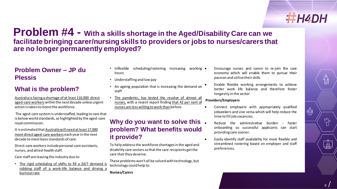## **Problem #4 - With a skills shortage in the Aged/Disability Care can we facilitate bringing carer/nursing skills to providers or jobs to nurses/carers that are no longer permanently employed?**

## **Problem Owner – JP du Plessis**

## **What is the problem?**

[Australia is facing a shortage of at least 110,000 direct](https://www.ceda.com.au/NewsAndResources/MediaReleases/Health-Ageing/Australia%E2%80%99s-dire-shortage-of-aged-care-workers-req) aged-care workers within the next decade unless urgent action is taken to boost the workforce.

The aged-care system is understaffed, leading to care that is below world standards, as highlighted by the aged-care royal commission.

[It is estimated that Australia will need at least 17,000](https://www.ceda.com.au/ResearchAndPolicies/Research/Health-Ageing/Duty-of-care-Meeting-the-aged-care-workforce-chall)  more direct aged-care workers each year in the next decade to meet basic standards of care.

Direct-care workers include personal-care assistants, nurses, and allied-health staff.

Care staff are leaving the industry due to:

• The rigid scheduling of shifts to fill a 24/7 demand is robbing staff of a work-life balance and driving a [burnoutrate](https://techcrunch.com/sponsor/intelycare/can-technology-solve-the-nurse-staffing-crisis/)

- Inflexible scheduling/rostering increasing working hours
- Understaffing and low pay
- An ageing population that is increasing the demand on staff
- The [pandemic,](https://online.vu.edu.au/blog/understanding-nursing-shortage-australia) has tested the resolve of almost all nurses, with a recent report finding that 42 per cent of nurses are less willing towork than [before.](https://www.cambridge.org/core/journals/disaster-medicine-and-public-health-preparedness/article/abs/willingness-to-work-amongst-australian-frontline-healthcare-workers-during-australias-first-wave-of-covid19-community-transmission-results-of-an-online-survey/C1AC3060EA81A7779820F1F9A0BE9380)

## **Why do you want to solve this problem? What benefits would it provide?**

To help address the workforce shortages in the aged and disability care sectors so that the care recipients get the care that they deserve.

These problems won't all be solved with technology, but technology could help to:

**Nurses/Carers**

- Encourage nurses and carers to re-join the care economy which will enable them to pursue their passion and utilisetheirskills
- Enable flexible working arrangements to achieve better work life balance and therefore foster longevity in the sector

#### **Providers/Employers**

- Connect employers with appropriately qualified jobseekers and vice versa which will help reduce the time to fill job vacancies.
- Reduce the administrative burden faster onboarding so successful applicants can start providing care sooner.
- Easily identify staff availability for more flexible and streamlined rostering based on employer and staff preferences.

6

1ď

 $\mathbb{C}_{\ell}$ 

 $\overline{\mathbb{R}}$ 

Ҿ҆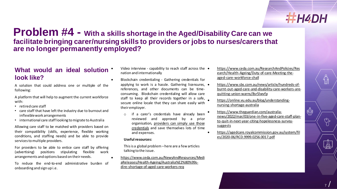ఱ

## **Problem #4 - With a skills shortage in the Aged/Disability Care can we facilitate bringing carer/nursing skills to providers or jobs to nurses/carers that are no longer permanently employed?**

## **What would an ideal solution look like?**

A solution that could address one or multiple of the following:

A platform that will help to augment the current workforce with:

- retired care staff
- care staff that have left the industry due to burnout and inflexiblework arrangements
- international care staff looking to migrate to Australia

Allowing care staff to be matched with providers based on their compatibility (skills, experience, flexible working conditions, and staffing needs) and be able to provide services to multiple providers.

For providers to be able to entice care staff by offering (advertising) positions stipulating flexible work arrangements and options based on theirneeds.

To reduce the end-to-end administrative burden of onboarding and sign up i.e.

- Video interview capability to reach staff across the nation and internationally
- Blockchain credentialing Gathering credentials for applying to work is a hassle. Gathering licensures, • references, and other documents can be timeconsuming. Blockchain credentialing will allow care staff to keep all their records together in a safe, secure online locale that they can share easily with theiremployer.
	- o if a carer's credentials have already been reviewed and approved by a prior [organisation,](https://www.forbes.com/sites/forbestechcouncil/2020/01/10/how-technology-will-disrupt-the-nursing-shortage/?sh=37def48f12e7) providers can simply use those credentials and save themselves lots of time and expenses.

#### **Usefulresources:**

This is a global problem –here are a few articles talking to the issue.

• [https://www.ceda.com.au/NewsAndResources/Medi](https://www.ceda.com.au/NewsAndResources/MediaReleases/Health-Ageing/Australia%E2%80%99s-dire-shortage-of-aged-care-workers-req) aReleases/Health-Ageing/Australia%E2%80%99sdire-shortage-of-aged-care-workers-req

- [https://www.ceda.com.au/ResearchAndPolicies/Res](https://www.ceda.com.au/ResearchAndPolicies/Research/Health-Ageing/Duty-of-care-Meeting-the-aged-care-workforce-chall) earch/Health-Ageing/Duty-of-care-Meeting-theaged-care-workforce-chall
- https://www.sbs.com.au/news/article/hundreds-of[burnt-out-aged-care-and-disability-care-workers-are](https://www.sbs.com.au/news/article/hundreds-of-burnt-out-aged-care-and-disability-care-workers-are-quitting-union-warns/8sr5lwvfp)quitting-union-warns/8sr5lwvfp
- [https://online.vu.edu.au/blog/understanding](https://online.vu.edu.au/blog/understanding-nursing-shortage-australia)nursing-shortage-australia
- https://www.theguardian.com/australia[news/2022/mar/03/one-in-five-aged-care-staff-plan](https://www.theguardian.com/australia-news/2022/mar/03/one-in-five-aged-care-staff-plan-to-quit-in-next-year-citing-hopelessness-survey-suggests)to-quit-in-next-year-citing-hopelessness-surveysuggests
- [https://agedcare.royalcommission.gov.au/system/fil](https://agedcare.royalcommission.gov.au/system/files/2020-06/RCD.9999.0256.0017.pdf) es/2020-06/RCD.9999.0256.0017.pdf

 $\overline{\mathbb{R}}$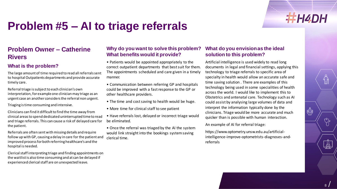## **Problem #5 – AI to triage referrals**

## **Problem Owner – Catherine Rivers**

## **What is the problem?**

The large amount of time required to read all referrals sent to hospital Outpatients departments and provide accurate timely care.

Referral triage is subject to each clinician's own interpretation, for example one clinician may triage as an urgent case an another considers the referral non urgent.

Triaging is time consuming and intensive.

Clinicians can find it difficult to find the time away from clinical areas to spend dedicated uninterrupted time to read and triage referrals. This can cause a risk of delayed care for the patient.

Referrals are often sent with missing details and require follow up with GP, causing a delay in care for the patient and improved process for both referring healthcare's and the hospital is needed.

Clerical staff interpreting triage and finding appointments on the waitlist is also time consuming and at can be delayed if experienced clerical staff are on unexpected leave.

### **Why do you want to solve this problem? What benefits would it provide?**

• Patients would be appointed appropriately to the correct outpatient departments that best suit for them. The appointments scheduled and care given in a timely manner.

• Communication between referring GP and hospitals could be improved with a fast response to the GP or other healthcare providers.

- The time and cost saving to health would be huge.
- More time for clinical staff to see patient

• Have referrals lost, delayed or incorrect triage would be eliminated.

• Once the referral was triaged by the AI the system would link straight into the bookings system saving clerical time.

## **What do you envision as the ideal solution to this problem?**

Artificial intelligence is used widely to read long documents in legal and financial settings, applying this technology to triage referrals to specific area of specialty in health would allow an accurate safe and time saving solution . There are examples of this technology being used in some specialities of health across the world. I would like to implement this to Obstetrics and antenatal care. Technology such as AI could assist by analysing large volumes of data and interpret the information typically done by the clinicians. Triage would be more accurate and much quicker than is possible with human interaction.

An example of AI for referral triage:

https://www.optometry.unsw.edu.au/artificialintelligence-improve-optometrists-diagnoses-andreferrals

 $\mathbb{\overline{A}}$ 

T

**THH4DH** 

₿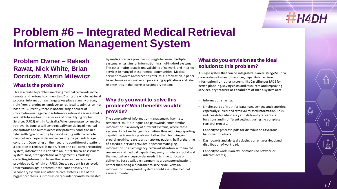

♔

## **Problem #6 – Integrated Medical Retrieval Information Management System**

## **Problem Owner – Rakesh Rawat, Nick White, Brian Dorricott, Martin Milewicz**

#### **What is the problem?**

This is a real-life problem involving medical retrievals in the remote and regional communities. During the whole retrieval process, information exchange takes place at many places, right from planning to handover to retrieval to admission in a hospital. Currently, there is not one single source of information management solution for retrieval services that is available to any health services and Royal Flying Doctor Services (RFDS) within Australia. When an emergency medical retrieval is done, a call centreusually consisting of medical consultants and nurses access the patient's condition in a telehealth type of setting by coordinating with the remote medical service provider and accessing the patients triage condition. Depending on the need and condition of a patient, a decision to retrieval is made. From one call centrerecording system, information is added to an initial clinical assessment system. Next, transportation arrangement is made by collecting information from other sources like services provided by Careflight or RFDS. Once, a patient is retrieved, information is again entered in the core primary and secondary systems and other clinical systems. One of the biggest problems is information redundancy and time wasted

by medical service providers to juggle between multiple systems, enter similar information in a multitude of systems. The other major issue is unavailability of network and internet services in many of these remote communities. Medical service providers are forced to enter this information in paperbased forms or normal word processing applications and later re-enter this in their core or secondary systems.

#### **Why do you want to solve this problem? What benefits would it provide?**

The complexity of information management, having to remember multiple logins and passwords, enter similar information in a variety of different systems, where these systems do not exchange information, thus reducing reporting capabilities is one big problem. Rather than focusing on providing critical care to a transported patient, half of the time of a medical service provider is spent in managing information. In an emergency retrieval situation, with limited resources and medical capabilities, every minute is crucial, and the medical service provider needs this time to focus on delivering best available treatment to a transported patient. Rather than being a hindrance to service delivery, an information management system should assist the medical service provider.

## **What do you envision as the ideal solution to this problem?**

A single system that can be integrated in an existing eMR or a core system of a health services, capacity to retrieve information from other systems like Careflight or RFDS for better planning, saving costs and resources and improving services. Key features or capabilities of such a system are:

- Information sharing.
- Single source of truth for data management and reporting, especially clinical and retrieval related information. Thus, reduces data redundancy and data entry at various locations and in different settings during the complete retrieval process.
- Capacity to generate pdfs for distribution at various handover locations.
- Dashboards and alerts displaying current workload and distribution of workload.
- Capacity to work in an offline mode (no network or internet access).

<u>V,</u>

 $\mathbb{R}$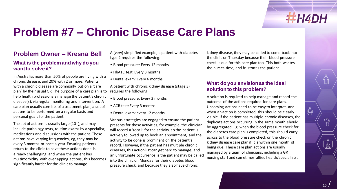

₿

## **Problem #7 – Chronic Disease Care Plans**

## **Problem Owner – Kresna Bell**

#### **What is the problem and why do you want to solve it?**

In Australia, more than 50% of people are living with a chronic disease, and 20% with 2 or more. Patients with a chronic disease are commonly put on a 'care plan' by their usual GP. The purpose of a care plan is to help health professionals manage the patient's chronic disease(s), via regular monitoring and intervention. A care plan usually consists of a treatment plan, a set of actions to be performed on a regular basis and personal goals for the patient.

The set of actions is usually large (10+), and may include pathology tests, routine exams by a specialist, medications and discussions with the patient. These actions have varying frequencies, eg, they may be every 3 months or once a year. Ensuring patients return to the clinic to have these actions done is already challenging, and when the patient has multimorbidity with overlapping actions, this becomes significantly harder for the clinic to manage.

A (very) simplified example, a patient with diabetes type 2 requires the following:

- Blood pressure: Every 12 months
- HbA1C test: Every 3 months
- Dental exam: Every 6 months

A patient with chronic kidney disease (stage 3) requires the following:

- Blood pressure: Every 3 months
- ACR test: Every 3 months
- Dental exam: every 12 months

Various strategies are engaged to ensure the patient presents for these activities, for example, the clinician will record a 'recall' for the activity, so the patient is actively followed up to book an appointment, and the activity to be done is prominent on the patient's record. However, if the patient has multiple chronic diseases, this action list can get hard to manage, and an unfortunate occurrence is the patient may be called into the clinic on Monday for their diabetes blood pressure check, and because they also have chronic

kidney disease, they may be called to come back into the clinic on Thursday because their blood pressure check is due for this care plan too. This both wastes the nurses time, and frustrates the patient.

### **What do you envision as the ideal solution to this problem?**

A solution is required to help manage and record the outcome of the actions required for care plans. Upcoming actions need to be easy to interpret, and when an action is completed, this should be clearly visible. If the patient has multiple chronic diseases, the duplicate actions occurring in the same month should be aggregated. Eg, when the blood pressure check for the diabetes care plan is completed, this should carry across to the blood pressure check on the chronic kidney disease care plan if it is within one month of being due. These care plan actions are usually managed by a team of clinicians, including a GP, nursing staff and sometimes allied health/specialists.

10

<u>V,</u>

 $\mathbb{Z}$